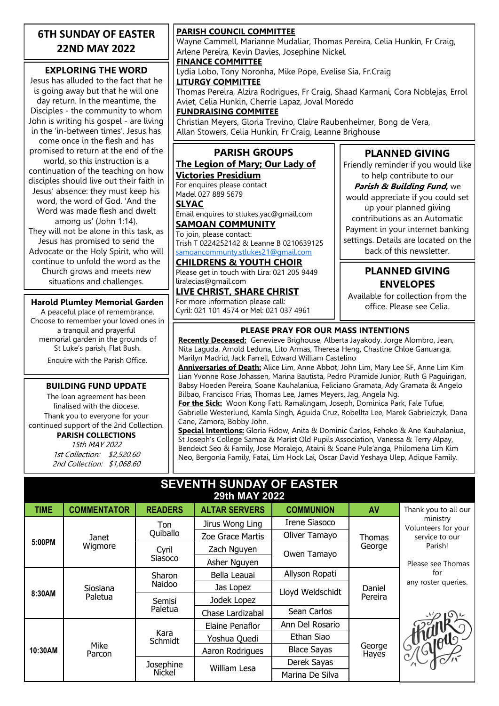### **6TH SUNDAY OF EASTER 22ND MAY 2022**

### **EXPLORING THE WORD**

Jesus has alluded to the fact that he is going away but that he will one day return. In the meantime, the Disciples - the community to whom John is writing his gospel - are living in the 'in-between times'. Jesus has come once in the flesh and has promised to return at the end of the world, so this instruction is a continuation of the teaching on how disciples should live out their faith in Jesus' absence: they must keep his word, the word of God. 'And the Word was made flesh and dwelt among us' (John 1:14). They will not be alone in this task, as Jesus has promised to send the Advocate or the Holy Spirit, who will continue to unfold the word as the Church grows and meets new situations and challenges.

#### **Harold Plumley Memorial Garden**

A peaceful place of remembrance. Choose to remember your loved ones in a tranquil and prayerful memorial garden in the grounds of St Luke's parish, Flat Bush. Enquire with the Parish Office.

#### **BUILDING FUND UPDATE**

The loan agreement has been finalised with the diocese. Thank you to everyone for your continued support of the 2nd Collection. **PARISH COLLECTIONS** 15th MAY 2022

1st Collection: \$2,520.60 2nd Collection: \$1,068.60

#### **PARISH COUNCIL COMMITTEE**

Wayne Cammell, Marianne Mudaliar, Thomas Pereira, Celia Hunkin, Fr Craig, Arlene Pereira, Kevin Davies, Josephine Nickel.

#### **FINANCE COMMITTEE**

Lydia Lobo, Tony Noronha, Mike Pope, Evelise Sia, Fr.Craig **LITURGY COMMITTEE**

Thomas Pereira, Alzira Rodrigues, Fr Craig, Shaad Karmani, Cora Noblejas, Errol Aviet, Celia Hunkin, Cherrie Lapaz, Joval Moredo

#### **FUNDRAISING COMMITEE**

Christian Meyers, Gloria Trevino, Claire Raubenheimer, Bong de Vera, Allan Stowers, Celia Hunkin, Fr Craig, Leanne Brighouse

#### **PARISH GROUPS The Legion of Mary; Our Lady of**

# **Victories Presidium**

For enquires please contact Madel 027 889 5679

#### **SLYAC**

Email enquires to stlukes.yac@gmail.com **SAMOAN COMMUNITY**

#### To join, please contact: Trish T 0224252142 & Leanne B 0210639125 [samoancommunty.stlukes21@gmail.com](mailto:samoancommunity.stlukes21@gmail.com)

## **CHILDRENS & YOUTH CHOIR**

Please get in touch with Lira: 021 205 9449 liralecias@gmail.com

#### **LIVE CHRIST, SHARE CHRIST** For more information please call: Cyril: 021 101 4574 or Mel: 021 037 4961

## **PLANNED GIVING**

Friendly reminder if you would like to help contribute to our

**Parish & Building Fund,** we would appreciate if you could set up your planned giving contributions as an Automatic Payment in your internet banking settings. Details are located on the back of this newsletter.

### **PLANNED GIVING ENVELOPES**

Available for collection from the office. Please see Celia.

### **PLEASE PRAY FOR OUR MASS INTENTIONS**

**Recently Deceased:** Genevieve Brighouse, Alberta Jayakody. Jorge Alombro, Jean, Nita Laguda, Arnold Leduna, Lito Armas, Theresa Heng, Chastine Chloe Ganuanga, Marilyn Madrid, Jack Farrell, Edward William Castelino

**Anniversaries of Death:** Alice Lim, Anne Abbot, John Lim, Mary Lee SF, Anne Lim Kim Lian Yvonne Rose Johassen, Marina Bautista, Pedro Piramide Junior, Ruth G Paguirigan, Babsy Hoeden Pereira, Soane Kauhalaniua, Feliciano Gramata, Ady Gramata & Angelo Bilbao, Francisco Frias, Thomas Lee, James Meyers, Jag, Angela Ng.

**For the Sick:** Woon Kong Fatt, Ramalingam, Joseph, Dominica Park, Fale Tufue, Gabrielle Westerlund, Kamla Singh, Aguida Cruz, Robellta Lee, Marek Gabrielczyk, Dana Cane, Zamora, Bobby John.

**Special Intentions:** Gloria Fidow, Anita & Dominic Carlos, Fehoko & Ane Kauhalaniua, St Joseph's College Samoa & Marist Old Pupils Association, Vanessa & Terry Alpay, Bendeict Seo & Family, Jose Moralejo, Ataini & Soane Pule'anga, Philomena Lim Kim Neo, Bergonia Family, Fatai, Lim Hock Lai, Oscar David Yeshaya Ulep, Adique Family.

#### **SEVENTH SUNDAY OF EASTER 29th MAY 2022**

| <b>TIME</b> | <b>COMMENTATOR</b>  | <b>READERS</b>             | <b>ALTAR SERVERS</b> | <b>COMMUNION</b>   | AV                | Thank you to all our            |
|-------------|---------------------|----------------------------|----------------------|--------------------|-------------------|---------------------------------|
| 5:00PM      | Janet<br>Wigmore    | Ton<br>Quiballo            | Jirus Wong Ling      | Irene Siasoco      | Thomas<br>George  | ministry<br>Volunteers for your |
|             |                     |                            | Zoe Grace Martis     | Oliver Tamayo      |                   | service to our<br>Parish!       |
|             |                     | Cyril<br>Siasoco           | Zach Nguyen          | Owen Tamayo        |                   |                                 |
|             |                     |                            | Asher Nguyen         |                    |                   | Please see Thomas               |
| 8:30AM      | Siosiana<br>Paletua | Sharon<br>Naidoo           | Bella Leauai         | Allyson Ropati     | Daniel<br>Pereira | for                             |
|             |                     |                            | Jas Lopez            | Lloyd Weldschidt   |                   | any roster queries.             |
|             |                     | Semisi<br>Paletua          | Jodek Lopez          |                    |                   |                                 |
|             |                     |                            | Chase Lardizabal     | Sean Carlos        |                   |                                 |
| 10:30AM     | Mike<br>Parcon      | Kara<br>Schmidt            | Elaine Penaflor      | Ann Del Rosario    | George<br>Hayes   |                                 |
|             |                     |                            | Yoshua Quedi         | Ethan Siao         |                   | I SAGUELO                       |
|             |                     |                            | Aaron Rodrigues      | <b>Blace Sayas</b> |                   |                                 |
|             |                     | Josephine<br><b>Nickel</b> | William Lesa         | Derek Sayas        |                   |                                 |
|             |                     |                            |                      | Marina De Silva    |                   |                                 |